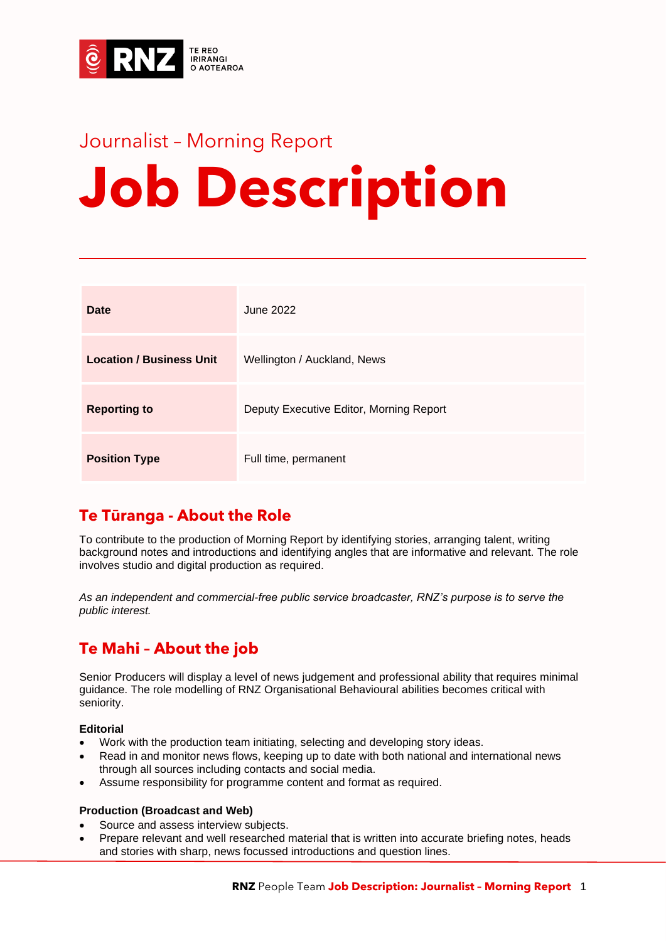

# Journalist – Morning Report **Job Description**

| Date                            | June 2022                               |
|---------------------------------|-----------------------------------------|
| <b>Location / Business Unit</b> | Wellington / Auckland, News             |
| <b>Reporting to</b>             | Deputy Executive Editor, Morning Report |
| <b>Position Type</b>            | Full time, permanent                    |

# **Te Tūranga - About the Role**

To contribute to the production of Morning Report by identifying stories, arranging talent, writing background notes and introductions and identifying angles that are informative and relevant. The role involves studio and digital production as required.

*As an independent and commercial-free public service broadcaster, RNZ's purpose is to serve the public interest.*

# **Te Mahi – About the job**

Senior Producers will display a level of news judgement and professional ability that requires minimal guidance. The role modelling of RNZ Organisational Behavioural abilities becomes critical with seniority.

#### **Editorial**

- Work with the production team initiating, selecting and developing story ideas.
- Read in and monitor news flows, keeping up to date with both national and international news through all sources including contacts and social media.
- Assume responsibility for programme content and format as required.

#### **Production (Broadcast and Web)**

- Source and assess interview subjects.
- Prepare relevant and well researched material that is written into accurate briefing notes, heads and stories with sharp, news focussed introductions and question lines.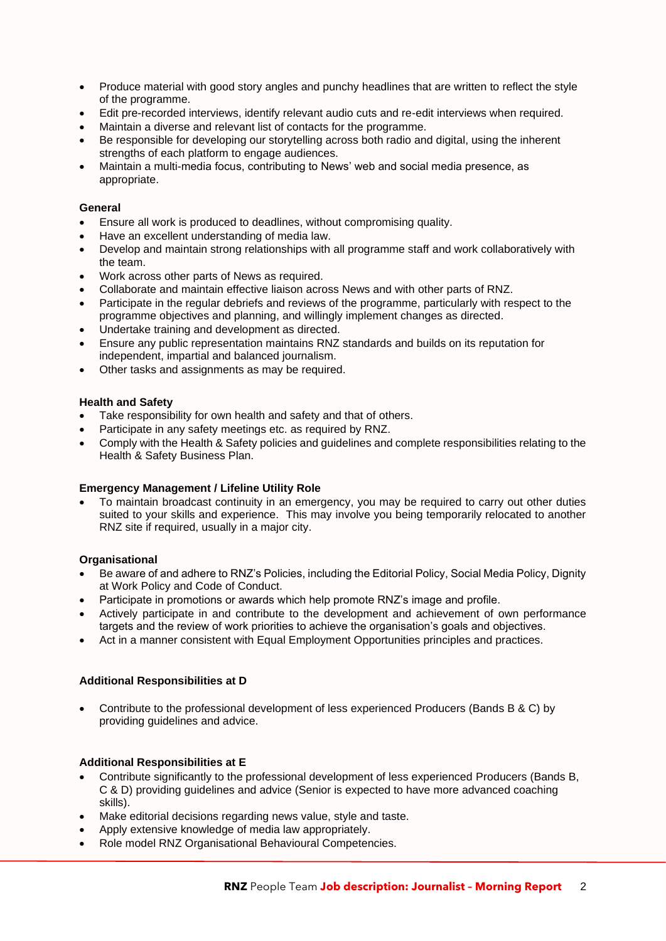- Produce material with good story angles and punchy headlines that are written to reflect the style of the programme.
- Edit pre-recorded interviews, identify relevant audio cuts and re-edit interviews when required.
- Maintain a diverse and relevant list of contacts for the programme.
- Be responsible for developing our storytelling across both radio and digital, using the inherent strengths of each platform to engage audiences.
- Maintain a multi-media focus, contributing to News' web and social media presence, as appropriate.

#### **General**

- Ensure all work is produced to deadlines, without compromising quality.
- Have an excellent understanding of media law.
- Develop and maintain strong relationships with all programme staff and work collaboratively with the team.
- Work across other parts of News as required.
- Collaborate and maintain effective liaison across News and with other parts of RNZ.
- Participate in the regular debriefs and reviews of the programme, particularly with respect to the programme objectives and planning, and willingly implement changes as directed.
- Undertake training and development as directed.
- Ensure any public representation maintains RNZ standards and builds on its reputation for independent, impartial and balanced journalism.
- Other tasks and assignments as may be required.

#### **Health and Safety**

- Take responsibility for own health and safety and that of others.
- Participate in any safety meetings etc. as required by RNZ.
- Comply with the Health & Safety policies and guidelines and complete responsibilities relating to the Health & Safety Business Plan.

#### **Emergency Management / Lifeline Utility Role**

• To maintain broadcast continuity in an emergency, you may be required to carry out other duties suited to your skills and experience. This may involve you being temporarily relocated to another RNZ site if required, usually in a major city.

#### **Organisational**

- Be aware of and adhere to RNZ's Policies, including the Editorial Policy, Social Media Policy, Dignity at Work Policy and Code of Conduct.
- Participate in promotions or awards which help promote RNZ's image and profile.
- Actively participate in and contribute to the development and achievement of own performance targets and the review of work priorities to achieve the organisation's goals and objectives.
- Act in a manner consistent with Equal Employment Opportunities principles and practices.

#### **Additional Responsibilities at D**

• Contribute to the professional development of less experienced Producers (Bands B & C) by providing guidelines and advice.

#### **Additional Responsibilities at E**

- Contribute significantly to the professional development of less experienced Producers (Bands B, C & D) providing guidelines and advice (Senior is expected to have more advanced coaching skills).
- Make editorial decisions regarding news value, style and taste.
- Apply extensive knowledge of media law appropriately.
- Role model RNZ Organisational Behavioural Competencies.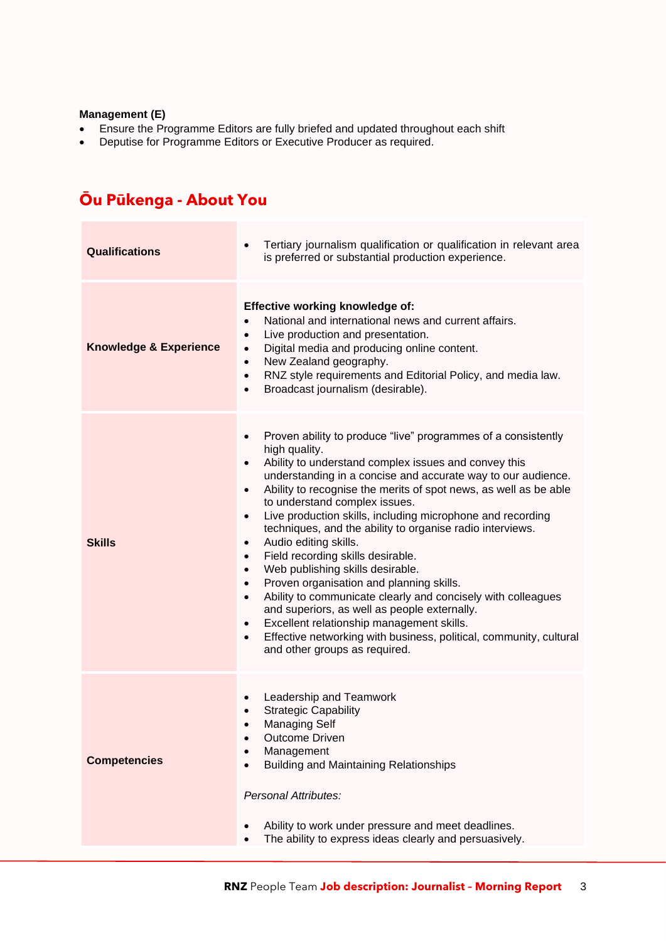#### **Management (E)**

- Ensure the Programme Editors are fully briefed and updated throughout each shift
- Deputise for Programme Editors or Executive Producer as required.

# **Ōu Pūkenga - About You**

| <b>Qualifications</b>             | Tertiary journalism qualification or qualification in relevant area<br>$\bullet$<br>is preferred or substantial production experience.                                                                                                                                                                                                                                                                                                                                                                                                                                                                                                                                                                                                                                                                                                                                                                                                                                                                  |  |
|-----------------------------------|---------------------------------------------------------------------------------------------------------------------------------------------------------------------------------------------------------------------------------------------------------------------------------------------------------------------------------------------------------------------------------------------------------------------------------------------------------------------------------------------------------------------------------------------------------------------------------------------------------------------------------------------------------------------------------------------------------------------------------------------------------------------------------------------------------------------------------------------------------------------------------------------------------------------------------------------------------------------------------------------------------|--|
| <b>Knowledge &amp; Experience</b> | <b>Effective working knowledge of:</b><br>National and international news and current affairs.<br>$\bullet$<br>Live production and presentation.<br>$\bullet$<br>Digital media and producing online content.<br>$\bullet$<br>New Zealand geography.<br>$\bullet$<br>RNZ style requirements and Editorial Policy, and media law.<br>$\bullet$<br>Broadcast journalism (desirable).<br>$\bullet$                                                                                                                                                                                                                                                                                                                                                                                                                                                                                                                                                                                                          |  |
| <b>Skills</b>                     | Proven ability to produce "live" programmes of a consistently<br>$\bullet$<br>high quality.<br>Ability to understand complex issues and convey this<br>$\bullet$<br>understanding in a concise and accurate way to our audience.<br>Ability to recognise the merits of spot news, as well as be able<br>$\bullet$<br>to understand complex issues.<br>Live production skills, including microphone and recording<br>$\bullet$<br>techniques, and the ability to organise radio interviews.<br>Audio editing skills.<br>$\bullet$<br>Field recording skills desirable.<br>$\bullet$<br>Web publishing skills desirable.<br>$\bullet$<br>Proven organisation and planning skills.<br>$\bullet$<br>Ability to communicate clearly and concisely with colleagues<br>$\bullet$<br>and superiors, as well as people externally.<br>Excellent relationship management skills.<br>$\bullet$<br>Effective networking with business, political, community, cultural<br>$\bullet$<br>and other groups as required. |  |
| <b>Competencies</b>               | Leadership and Teamwork<br>$\bullet$<br><b>Strategic Capability</b><br><b>Managing Self</b><br>$\bullet$<br><b>Outcome Driven</b><br>Management<br><b>Building and Maintaining Relationships</b><br>Personal Attributes:<br>Ability to work under pressure and meet deadlines.<br>The ability to express ideas clearly and persuasively.                                                                                                                                                                                                                                                                                                                                                                                                                                                                                                                                                                                                                                                                |  |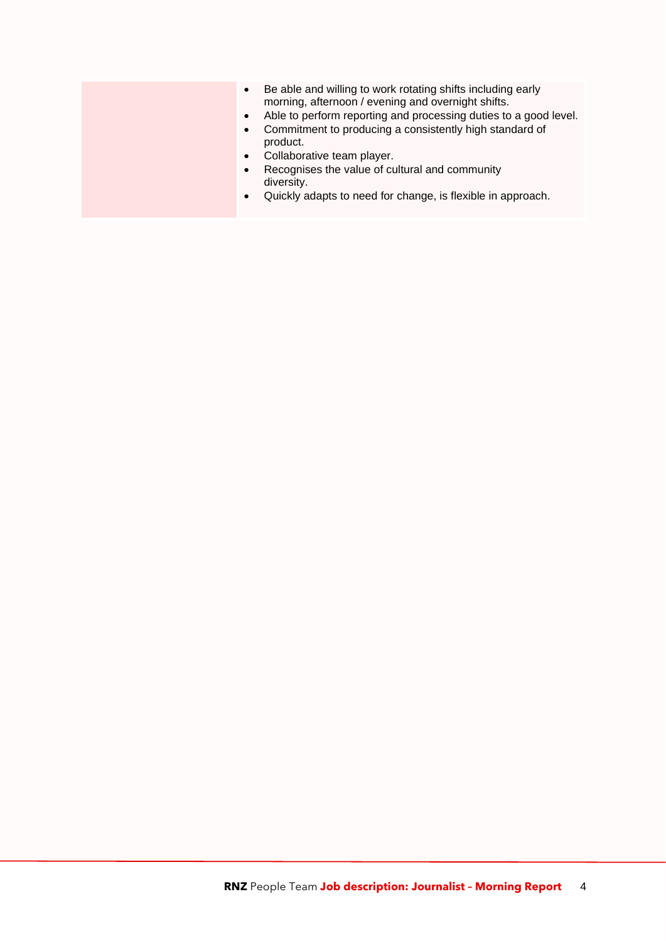- Be able and willing to work rotating shifts including early morning, afternoon / evening and overnight shifts.
- Able to perform reporting and processing duties to a good level.
- Commitment to producing a consistently high standard of product.
- Collaborative team player.
- Recognises the value of cultural and community diversity.
- Quickly adapts to need for change, is flexible in approach.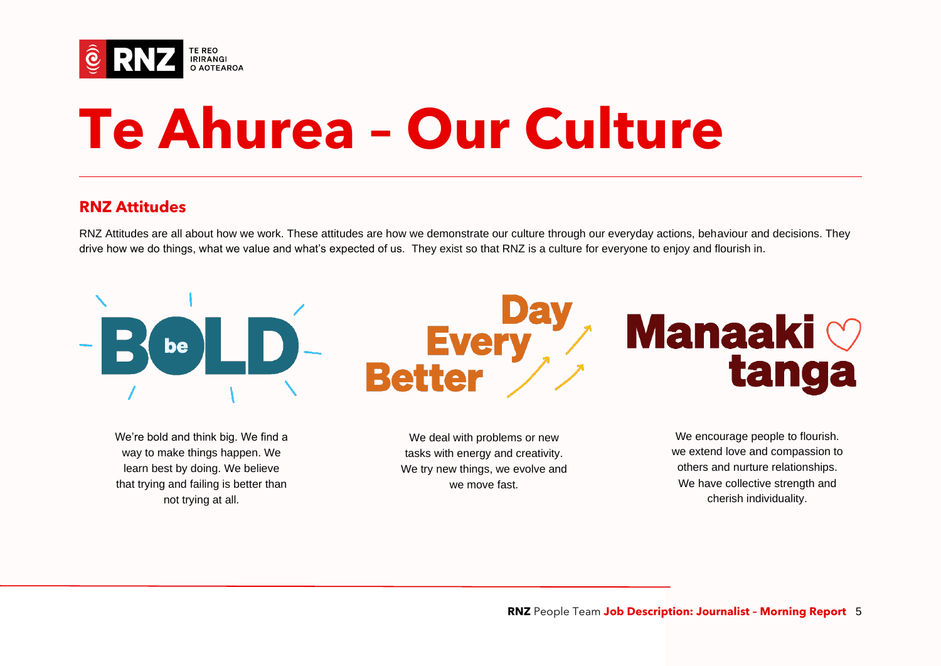

# **Te Ahurea – Our Culture**

### **RNZ Attitudes**

RNZ Attitudes are all about how we work. These attitudes are how we demonstrate our culture through our everyday actions, behaviour and decisions. They drive how we do things, what we value and what's expected of us. They exist so that RNZ is a culture for everyone to enjoy and flourish in.



way to make things happen. We learn best by doing. We believe that trying and failing is better than not trying at all.

tasks with energy and creativity. We try new things, we evolve and we move fast.

we extend love and compassion to others and nurture relationships. We have collective strength and cherish individuality.